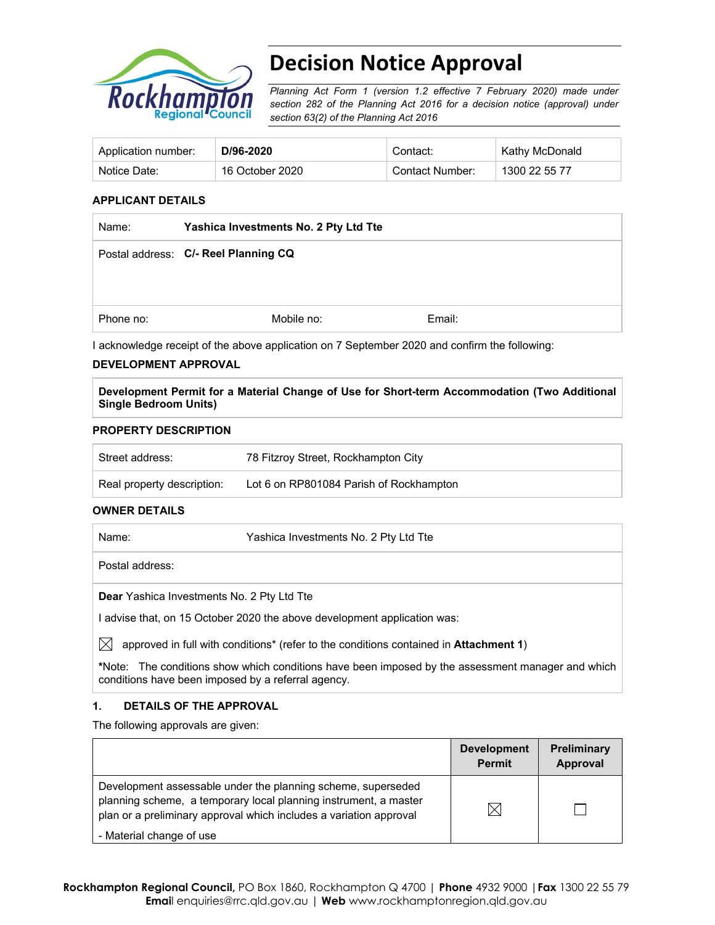

# **Decision Notice Approval**

*Planning Act Form 1 (version 1.2 effective 7 February 2020) made under section 282 of the Planning Act 2016 for a decision notice (approval) under section 63(2) of the Planning Act 2016*

| Application number: | D/96-2020       | Contact:        | Kathy McDonald |
|---------------------|-----------------|-----------------|----------------|
| Notice Date:        | 16 October 2020 | Contact Number: | 1300 22 55 77  |

### **APPLICANT DETAILS**

| Name:     | Yashica Investments No. 2 Pty Ltd Tte |        |  |
|-----------|---------------------------------------|--------|--|
|           | Postal address: C/- Reel Planning CQ  |        |  |
|           |                                       |        |  |
| Phone no: | Mobile no:                            | Email: |  |

I acknowledge receipt of the above application on 7 September 2020 and confirm the following:

## **DEVELOPMENT APPROVAL**

**Development Permit for a Material Change of Use for Short-term Accommodation (Two Additional Single Bedroom Units)** 

#### **PROPERTY DESCRIPTION**

| Street address:            | 78 Fitzroy Street, Rockhampton City     |
|----------------------------|-----------------------------------------|
| Real property description: | Lot 6 on RP801084 Parish of Rockhampton |

## **OWNER DETAILS**

Name: Yashica Investments No. 2 Pty Ltd Tte Postal address: **Dear** Yashica Investments No. 2 Pty Ltd Tte I advise that, on 15 October 2020 the above development application was:

 $\boxtimes$  approved in full with conditions<sup>\*</sup> (refer to the conditions contained in **Attachment 1**)

**\***Note:The conditions show which conditions have been imposed by the assessment manager and which conditions have been imposed by a referral agency.

## **1. DETAILS OF THE APPROVAL**

The following approvals are given:

|                                                                                                                                                                                                        | <b>Development</b><br><b>Permit</b> | <b>Preliminary</b><br>Approval |
|--------------------------------------------------------------------------------------------------------------------------------------------------------------------------------------------------------|-------------------------------------|--------------------------------|
| Development assessable under the planning scheme, superseded<br>planning scheme, a temporary local planning instrument, a master<br>plan or a preliminary approval which includes a variation approval | X                                   |                                |
| - Material change of use                                                                                                                                                                               |                                     |                                |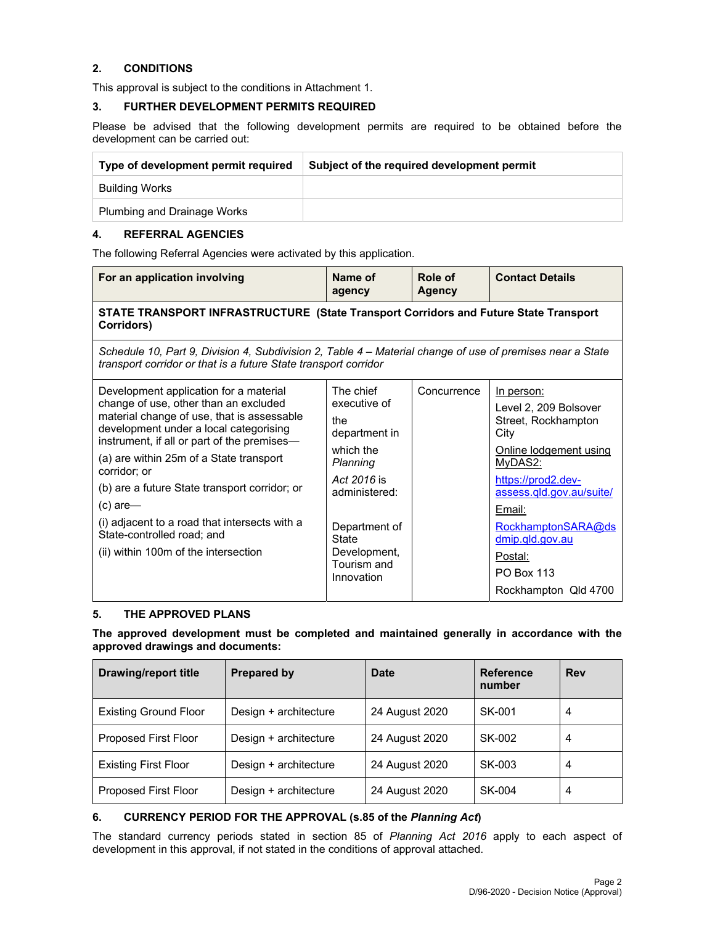## **2. CONDITIONS**

This approval is subject to the conditions in Attachment 1.

### **3. FURTHER DEVELOPMENT PERMITS REQUIRED**

Please be advised that the following development permits are required to be obtained before the development can be carried out:

| Type of development permit required | Subject of the required development permit |
|-------------------------------------|--------------------------------------------|
| Building Works                      |                                            |
| <b>Plumbing and Drainage Works</b>  |                                            |

## **4. REFERRAL AGENCIES**

The following Referral Agencies were activated by this application.

| For an application involving                                                                                                                                                                                                                                                                                                                                                                                                                                            | Name of                                                                                                                                                                                  | Role of       | <b>Contact Details</b>                                                                                                                                                                                                                                               |  |  |
|-------------------------------------------------------------------------------------------------------------------------------------------------------------------------------------------------------------------------------------------------------------------------------------------------------------------------------------------------------------------------------------------------------------------------------------------------------------------------|------------------------------------------------------------------------------------------------------------------------------------------------------------------------------------------|---------------|----------------------------------------------------------------------------------------------------------------------------------------------------------------------------------------------------------------------------------------------------------------------|--|--|
|                                                                                                                                                                                                                                                                                                                                                                                                                                                                         | agency                                                                                                                                                                                   | <b>Agency</b> |                                                                                                                                                                                                                                                                      |  |  |
| STATE TRANSPORT INFRASTRUCTURE (State Transport Corridors and Future State Transport<br>Corridors)                                                                                                                                                                                                                                                                                                                                                                      |                                                                                                                                                                                          |               |                                                                                                                                                                                                                                                                      |  |  |
| Schedule 10, Part 9, Division 4, Subdivision 2, Table 4 – Material change of use of premises near a State<br>transport corridor or that is a future State transport corridor                                                                                                                                                                                                                                                                                            |                                                                                                                                                                                          |               |                                                                                                                                                                                                                                                                      |  |  |
| Development application for a material<br>change of use, other than an excluded<br>material change of use, that is assessable<br>development under a local categorising<br>instrument, if all or part of the premises-<br>(a) are within 25m of a State transport<br>corridor; or<br>(b) are a future State transport corridor; or<br>$(c)$ are-<br>(i) adjacent to a road that intersects with a<br>State-controlled road; and<br>(ii) within 100m of the intersection | The chief<br>executive of<br>the<br>department in<br>which the<br>Planning<br>Act 2016 is<br>administered:<br>Department of<br><b>State</b><br>Development,<br>Tourism and<br>Innovation | Concurrence   | In person:<br>Level 2, 209 Bolsover<br>Street, Rockhampton<br>City<br>Online lodgement using<br>MyDAS2:<br>https://prod2.dev-<br>assess.qld.gov.au/suite/<br>Email:<br>RockhamptonSARA@ds<br>dmip.qld.gov.au<br>Postal:<br><b>PO Box 113</b><br>Rockhampton Qld 4700 |  |  |

## **5. THE APPROVED PLANS**

**The approved development must be completed and maintained generally in accordance with the approved drawings and documents:** 

| <b>Drawing/report title</b>  | <b>Prepared by</b>    | Date           | <b>Reference</b><br>number | Rev |
|------------------------------|-----------------------|----------------|----------------------------|-----|
| <b>Existing Ground Floor</b> | Design + architecture | 24 August 2020 | SK-001                     | 4   |
| Proposed First Floor         | Design + architecture | 24 August 2020 | SK-002                     | 4   |
| <b>Existing First Floor</b>  | Design + architecture | 24 August 2020 | SK-003                     | 4   |
| Proposed First Floor         | Design + architecture | 24 August 2020 | SK-004                     | 4   |

## **6. CURRENCY PERIOD FOR THE APPROVAL (s.85 of the** *Planning Act***)**

The standard currency periods stated in section 85 of *Planning Act 2016* apply to each aspect of development in this approval, if not stated in the conditions of approval attached.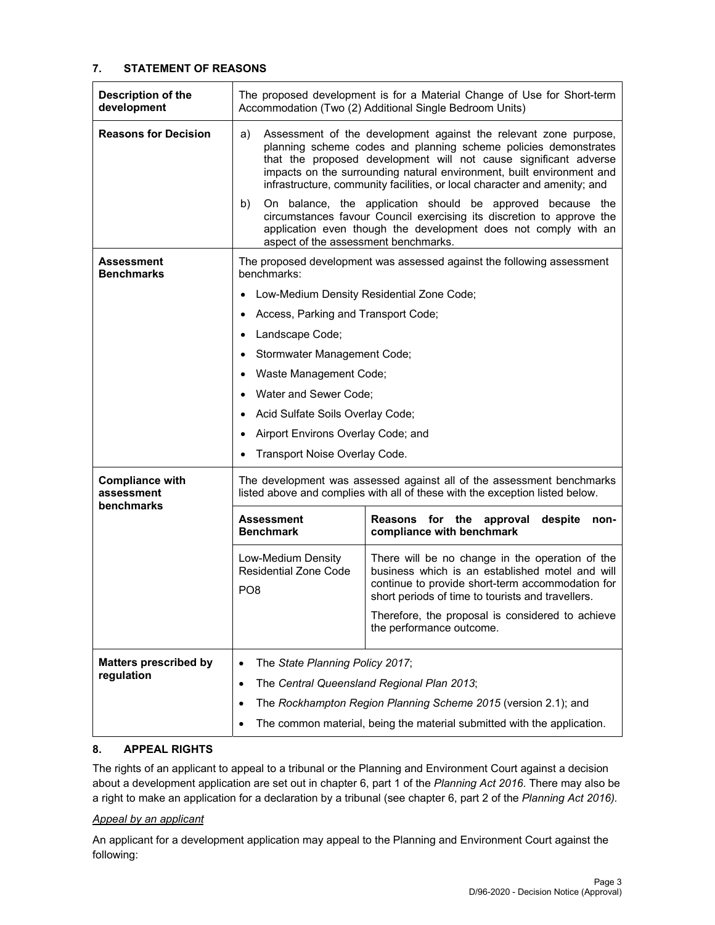## **7. STATEMENT OF REASONS**

| Description of the<br>development                  | The proposed development is for a Material Change of Use for Short-term<br>Accommodation (Two (2) Additional Single Bedroom Units)                                                                                                                                                   |                                                                                                                                                                                                                                                                                                                                                               |  |  |
|----------------------------------------------------|--------------------------------------------------------------------------------------------------------------------------------------------------------------------------------------------------------------------------------------------------------------------------------------|---------------------------------------------------------------------------------------------------------------------------------------------------------------------------------------------------------------------------------------------------------------------------------------------------------------------------------------------------------------|--|--|
| <b>Reasons for Decision</b>                        | a)                                                                                                                                                                                                                                                                                   | Assessment of the development against the relevant zone purpose,<br>planning scheme codes and planning scheme policies demonstrates<br>that the proposed development will not cause significant adverse<br>impacts on the surrounding natural environment, built environment and<br>infrastructure, community facilities, or local character and amenity; and |  |  |
|                                                    | On balance, the application should be approved because the<br>b)<br>circumstances favour Council exercising its discretion to approve the<br>application even though the development does not comply with an<br>aspect of the assessment benchmarks.                                 |                                                                                                                                                                                                                                                                                                                                                               |  |  |
| Assessment<br><b>Benchmarks</b>                    | benchmarks:                                                                                                                                                                                                                                                                          | The proposed development was assessed against the following assessment                                                                                                                                                                                                                                                                                        |  |  |
|                                                    | $\bullet$                                                                                                                                                                                                                                                                            | Low-Medium Density Residential Zone Code;                                                                                                                                                                                                                                                                                                                     |  |  |
|                                                    | Access, Parking and Transport Code;<br>٠                                                                                                                                                                                                                                             |                                                                                                                                                                                                                                                                                                                                                               |  |  |
|                                                    | Landscape Code;<br>٠                                                                                                                                                                                                                                                                 |                                                                                                                                                                                                                                                                                                                                                               |  |  |
|                                                    | Stormwater Management Code;<br>٠                                                                                                                                                                                                                                                     |                                                                                                                                                                                                                                                                                                                                                               |  |  |
|                                                    | Waste Management Code;<br>٠                                                                                                                                                                                                                                                          |                                                                                                                                                                                                                                                                                                                                                               |  |  |
|                                                    | Water and Sewer Code;<br>$\bullet$                                                                                                                                                                                                                                                   |                                                                                                                                                                                                                                                                                                                                                               |  |  |
|                                                    | ٠                                                                                                                                                                                                                                                                                    | Acid Sulfate Soils Overlay Code;                                                                                                                                                                                                                                                                                                                              |  |  |
|                                                    | Airport Environs Overlay Code; and<br>٠                                                                                                                                                                                                                                              |                                                                                                                                                                                                                                                                                                                                                               |  |  |
|                                                    | Transport Noise Overlay Code.<br>٠                                                                                                                                                                                                                                                   |                                                                                                                                                                                                                                                                                                                                                               |  |  |
| <b>Compliance with</b><br>assessment<br>benchmarks |                                                                                                                                                                                                                                                                                      | The development was assessed against all of the assessment benchmarks<br>listed above and complies with all of these with the exception listed below.                                                                                                                                                                                                         |  |  |
|                                                    | <b>Assessment</b><br><b>Benchmark</b>                                                                                                                                                                                                                                                | Reasons for the<br>despite<br>approval<br>non-<br>compliance with benchmark                                                                                                                                                                                                                                                                                   |  |  |
|                                                    | There will be no change in the operation of the<br>Low-Medium Density<br><b>Residential Zone Code</b><br>business which is an established motel and will<br>continue to provide short-term accommodation for<br>PO <sub>8</sub><br>short periods of time to tourists and travellers. |                                                                                                                                                                                                                                                                                                                                                               |  |  |
|                                                    |                                                                                                                                                                                                                                                                                      | Therefore, the proposal is considered to achieve<br>the performance outcome.                                                                                                                                                                                                                                                                                  |  |  |
| <b>Matters prescribed by</b>                       | The State Planning Policy 2017;<br>$\bullet$                                                                                                                                                                                                                                         |                                                                                                                                                                                                                                                                                                                                                               |  |  |
| regulation                                         | The Central Queensland Regional Plan 2013;<br>$\bullet$                                                                                                                                                                                                                              |                                                                                                                                                                                                                                                                                                                                                               |  |  |
|                                                    | The Rockhampton Region Planning Scheme 2015 (version 2.1); and<br>$\bullet$                                                                                                                                                                                                          |                                                                                                                                                                                                                                                                                                                                                               |  |  |
|                                                    | The common material, being the material submitted with the application.<br>٠                                                                                                                                                                                                         |                                                                                                                                                                                                                                                                                                                                                               |  |  |

## **8. APPEAL RIGHTS**

The rights of an applicant to appeal to a tribunal or the Planning and Environment Court against a decision about a development application are set out in chapter 6, part 1 of the *Planning Act 2016*. There may also be a right to make an application for a declaration by a tribunal (see chapter 6, part 2 of the *Planning Act 2016).*

## *Appeal by an applicant*

An applicant for a development application may appeal to the Planning and Environment Court against the following: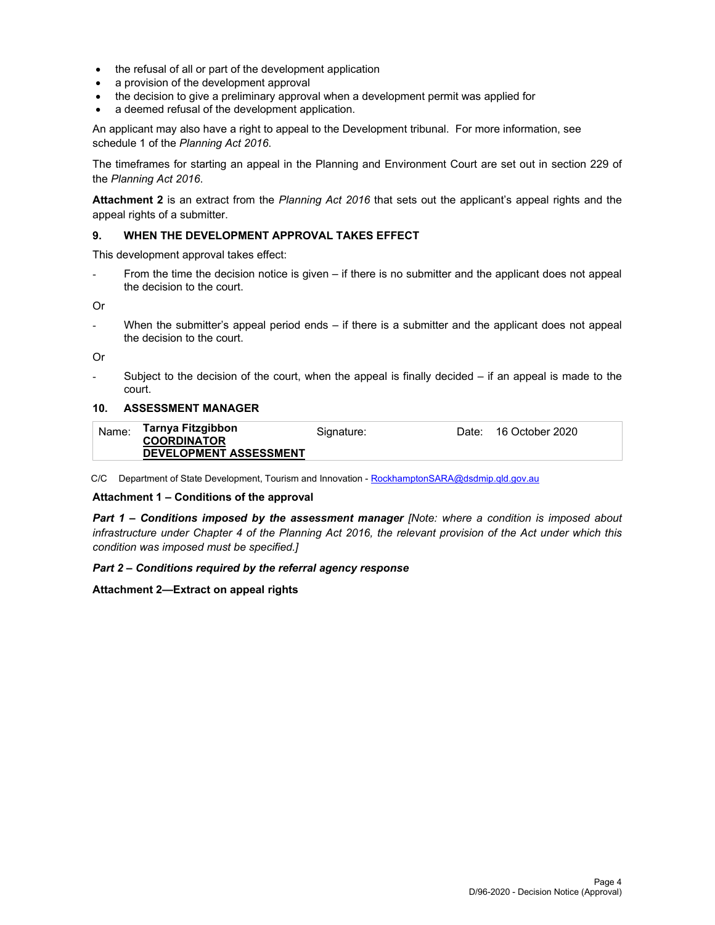- the refusal of all or part of the development application
- a provision of the development approval
- the decision to give a preliminary approval when a development permit was applied for
- a deemed refusal of the development application.

An applicant may also have a right to appeal to the Development tribunal. For more information, see schedule 1 of the *Planning Act 2016*.

The timeframes for starting an appeal in the Planning and Environment Court are set out in section 229 of the *Planning Act 2016*.

**Attachment 2** is an extract from the *Planning Act 2016* that sets out the applicant's appeal rights and the appeal rights of a submitter.

#### **9. WHEN THE DEVELOPMENT APPROVAL TAKES EFFECT**

This development approval takes effect:

From the time the decision notice is given – if there is no submitter and the applicant does not appeal the decision to the court.

Or

- When the submitter's appeal period ends – if there is a submitter and the applicant does not appeal the decision to the court.

Or

Subject to the decision of the court, when the appeal is finally decided  $-$  if an appeal is made to the court.

#### **10. ASSESSMENT MANAGER**

| Name: | Tarnya Fitzgibbon<br><b>COORDINATOR</b> | Signature: | Date: | 16 October 2020 |
|-------|-----------------------------------------|------------|-------|-----------------|
|       | <b>DEVELOPMENT ASSESSMENT</b>           |            |       |                 |

C/C Department of State Development, Tourism and Innovation - RockhamptonSARA@dsdmip.qld.gov.au

#### **Attachment 1 – Conditions of the approval**

*Part 1* **–** *Conditions imposed by the assessment manager [Note: where a condition is imposed about infrastructure under Chapter 4 of the Planning Act 2016, the relevant provision of the Act under which this condition was imposed must be specified.]*

#### *Part 2 – Conditions required by the referral agency response*

## **Attachment 2—Extract on appeal rights**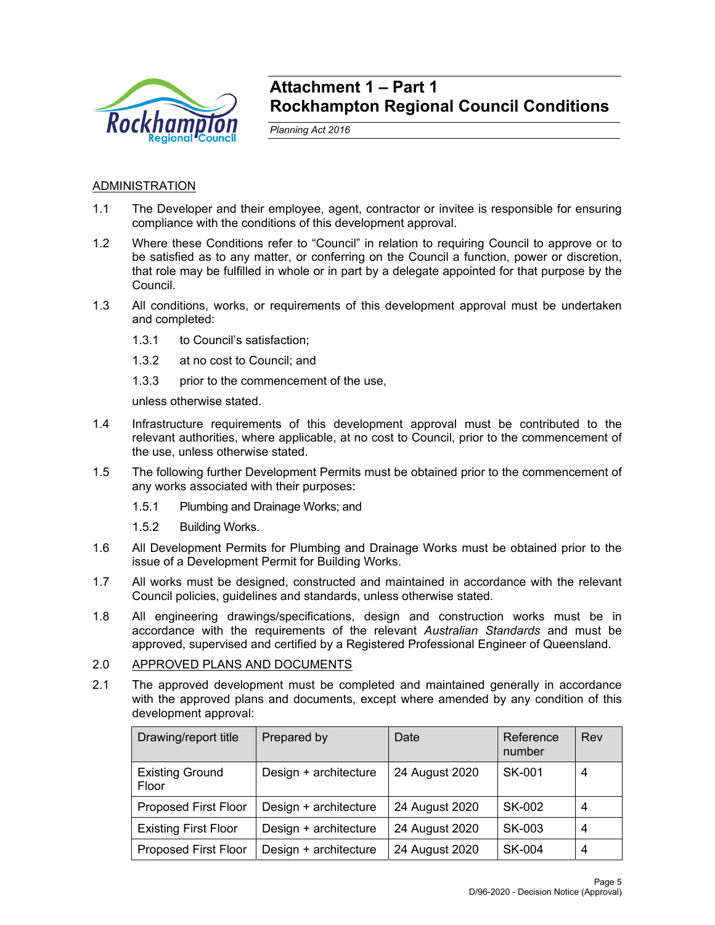

## **Attachment 1 – Part 1 Rockhampton Regional Council Conditions**

*Planning Act 2016* 

## **ADMINISTRATION**

- 1.1 The Developer and their employee, agent, contractor or invitee is responsible for ensuring compliance with the conditions of this development approval.
- 1.2 Where these Conditions refer to "Council" in relation to requiring Council to approve or to be satisfied as to any matter, or conferring on the Council a function, power or discretion, that role may be fulfilled in whole or in part by a delegate appointed for that purpose by the Council.
- 1.3 All conditions, works, or requirements of this development approval must be undertaken and completed:
	- 1.3.1 to Council's satisfaction;
	- 1.3.2 at no cost to Council; and
	- 1.3.3 prior to the commencement of the use,

unless otherwise stated.

- 1.4 Infrastructure requirements of this development approval must be contributed to the relevant authorities, where applicable, at no cost to Council, prior to the commencement of the use, unless otherwise stated.
- 1.5 The following further Development Permits must be obtained prior to the commencement of any works associated with their purposes:
	- 1.5.1 Plumbing and Drainage Works; and
	- 1.5.2 Building Works.
- 1.6 All Development Permits for Plumbing and Drainage Works must be obtained prior to the issue of a Development Permit for Building Works.
- 1.7 All works must be designed, constructed and maintained in accordance with the relevant Council policies, guidelines and standards, unless otherwise stated.
- 1.8 All engineering drawings/specifications, design and construction works must be in accordance with the requirements of the relevant *Australian Standards* and must be approved, supervised and certified by a Registered Professional Engineer of Queensland.

## 2.0 APPROVED PLANS AND DOCUMENTS

2.1 The approved development must be completed and maintained generally in accordance with the approved plans and documents, except where amended by any condition of this development approval:

| Drawing/report title            | Prepared by           | Date           | Reference<br>number | Rev |
|---------------------------------|-----------------------|----------------|---------------------|-----|
| <b>Existing Ground</b><br>Floor | Design + architecture | 24 August 2020 | SK-001              | 4   |
| <b>Proposed First Floor</b>     | Design + architecture | 24 August 2020 | SK-002              | 4   |
| <b>Existing First Floor</b>     | Design + architecture | 24 August 2020 | SK-003              | 4   |
| <b>Proposed First Floor</b>     | Design + architecture | 24 August 2020 | <b>SK-004</b>       | 4   |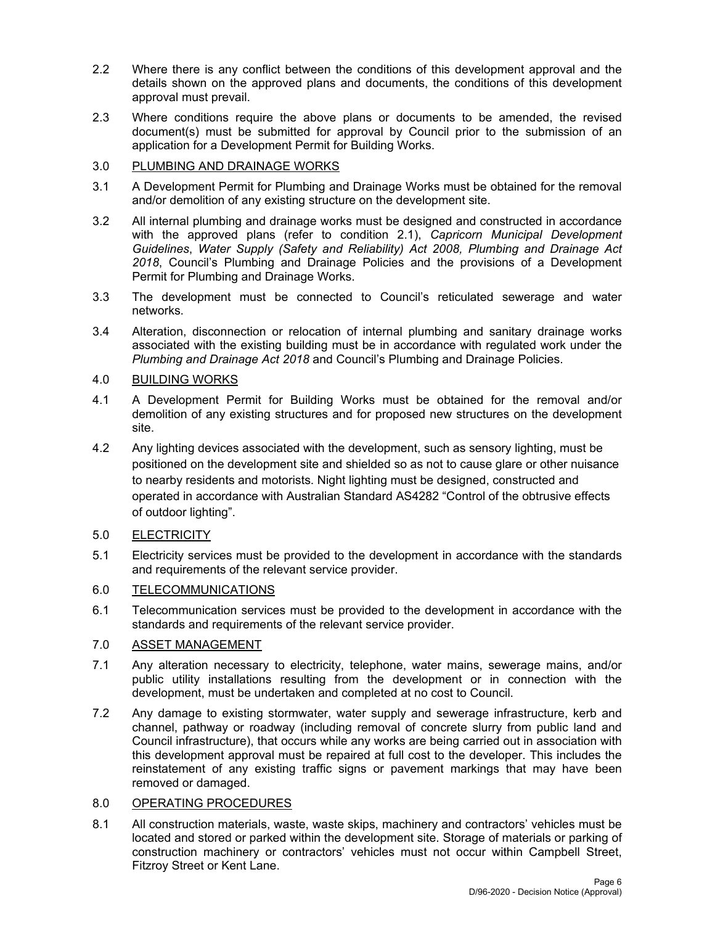- 2.2 Where there is any conflict between the conditions of this development approval and the details shown on the approved plans and documents, the conditions of this development approval must prevail.
- 2.3 Where conditions require the above plans or documents to be amended, the revised document(s) must be submitted for approval by Council prior to the submission of an application for a Development Permit for Building Works.

## 3.0 PLUMBING AND DRAINAGE WORKS

- 3.1 A Development Permit for Plumbing and Drainage Works must be obtained for the removal and/or demolition of any existing structure on the development site.
- 3.2 All internal plumbing and drainage works must be designed and constructed in accordance with the approved plans (refer to condition 2.1), *Capricorn Municipal Development Guidelines*, *Water Supply (Safety and Reliability) Act 2008, Plumbing and Drainage Act 2018*, Council's Plumbing and Drainage Policies and the provisions of a Development Permit for Plumbing and Drainage Works.
- 3.3 The development must be connected to Council's reticulated sewerage and water networks.
- 3.4 Alteration, disconnection or relocation of internal plumbing and sanitary drainage works associated with the existing building must be in accordance with regulated work under the *Plumbing and Drainage Act 2018* and Council's Plumbing and Drainage Policies.

## 4.0 BUILDING WORKS

- 4.1 A Development Permit for Building Works must be obtained for the removal and/or demolition of any existing structures and for proposed new structures on the development site.
- 4.2 Any lighting devices associated with the development, such as sensory lighting, must be positioned on the development site and shielded so as not to cause glare or other nuisance to nearby residents and motorists. Night lighting must be designed, constructed and operated in accordance with Australian Standard AS4282 "Control of the obtrusive effects of outdoor lighting".

## 5.0 ELECTRICITY

5.1 Electricity services must be provided to the development in accordance with the standards and requirements of the relevant service provider.

## 6.0 TELECOMMUNICATIONS

6.1 Telecommunication services must be provided to the development in accordance with the standards and requirements of the relevant service provider.

## 7.0 ASSET MANAGEMENT

- 7.1 Any alteration necessary to electricity, telephone, water mains, sewerage mains, and/or public utility installations resulting from the development or in connection with the development, must be undertaken and completed at no cost to Council.
- 7.2 Any damage to existing stormwater, water supply and sewerage infrastructure, kerb and channel, pathway or roadway (including removal of concrete slurry from public land and Council infrastructure), that occurs while any works are being carried out in association with this development approval must be repaired at full cost to the developer. This includes the reinstatement of any existing traffic signs or pavement markings that may have been removed or damaged.

## 8.0 OPERATING PROCEDURES

8.1 All construction materials, waste, waste skips, machinery and contractors' vehicles must be located and stored or parked within the development site. Storage of materials or parking of construction machinery or contractors' vehicles must not occur within Campbell Street, Fitzroy Street or Kent Lane.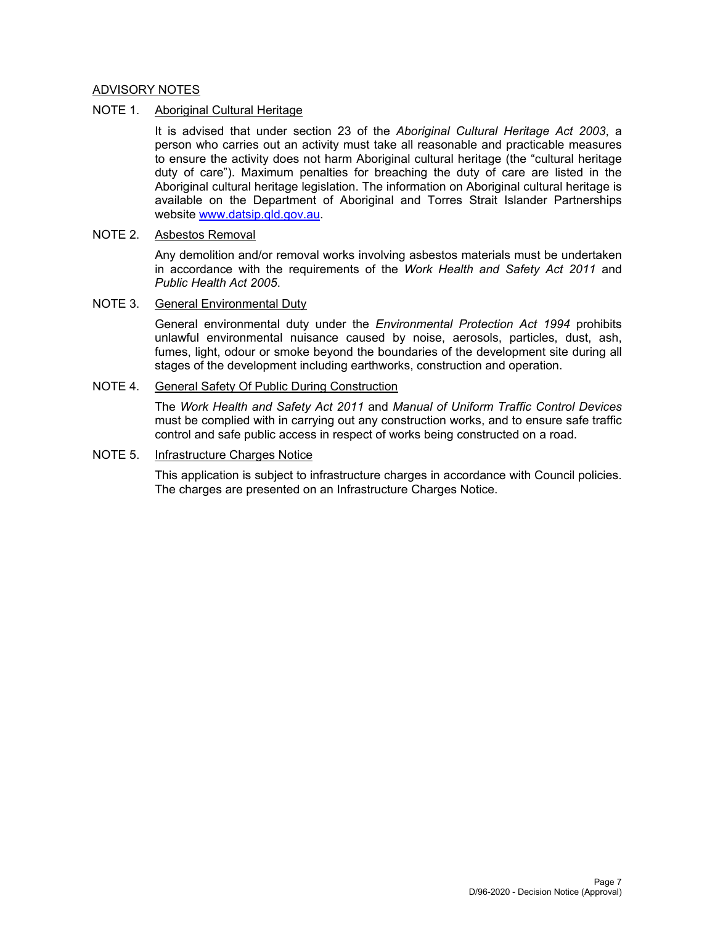## ADVISORY NOTES

## NOTE 1. Aboriginal Cultural Heritage

It is advised that under section 23 of the *Aboriginal Cultural Heritage Act 2003*, a person who carries out an activity must take all reasonable and practicable measures to ensure the activity does not harm Aboriginal cultural heritage (the "cultural heritage duty of care"). Maximum penalties for breaching the duty of care are listed in the Aboriginal cultural heritage legislation. The information on Aboriginal cultural heritage is available on the Department of Aboriginal and Torres Strait Islander Partnerships website www.datsip.qld.gov.au.

## NOTE 2. Asbestos Removal

Any demolition and/or removal works involving asbestos materials must be undertaken in accordance with the requirements of the *Work Health and Safety Act 2011* and *Public Health Act 2005*.

## NOTE 3. General Environmental Duty

General environmental duty under the *Environmental Protection Act 1994* prohibits unlawful environmental nuisance caused by noise, aerosols, particles, dust, ash, fumes, light, odour or smoke beyond the boundaries of the development site during all stages of the development including earthworks, construction and operation.

## NOTE 4. General Safety Of Public During Construction

The *Work Health and Safety Act 2011* and *Manual of Uniform Traffic Control Devices* must be complied with in carrying out any construction works, and to ensure safe traffic control and safe public access in respect of works being constructed on a road.

## NOTE 5. Infrastructure Charges Notice

This application is subject to infrastructure charges in accordance with Council policies. The charges are presented on an Infrastructure Charges Notice.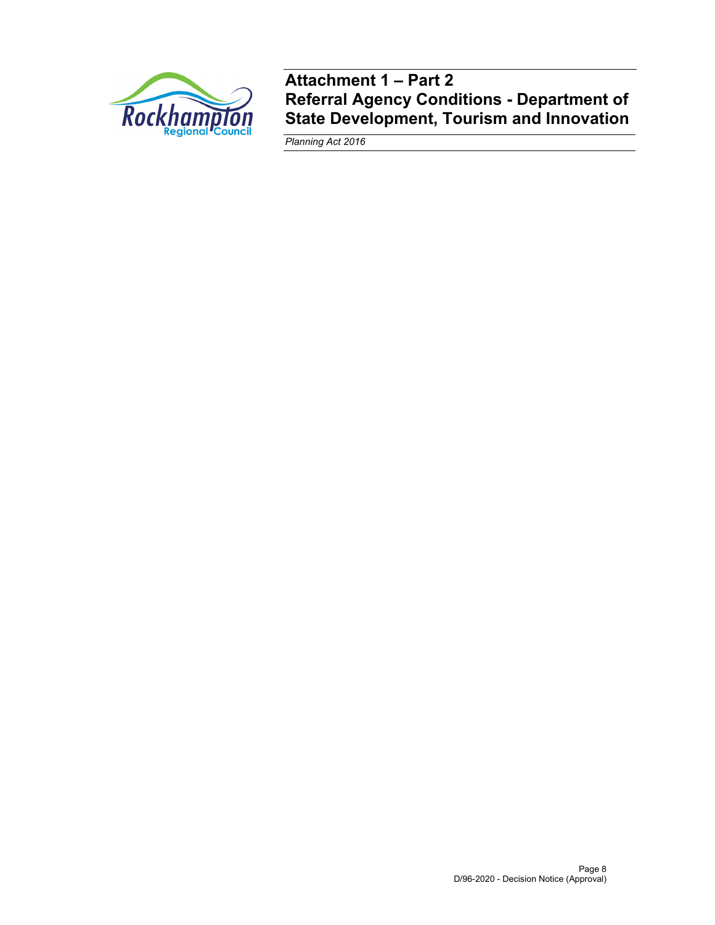

**Attachment 1 – Part 2 Referral Agency Conditions - Department of State Development, Tourism and Innovation** 

*Planning Act 2016*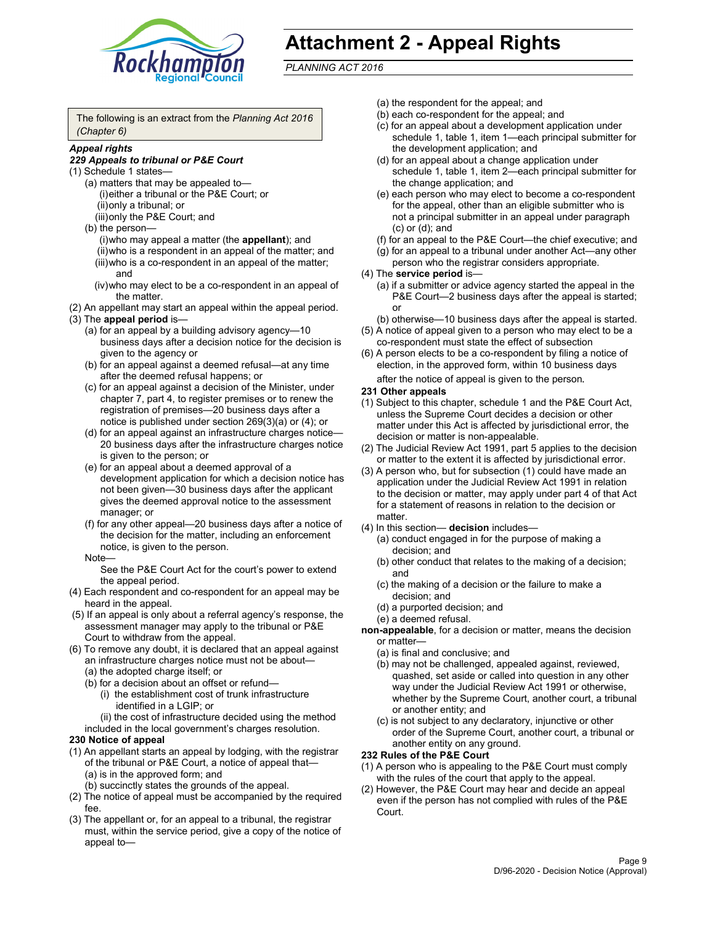

## **Attachment 2 - Appeal Rights**

*PLANNING ACT 2016*

The following is an extract from the *Planning Act 2016 (Chapter 6)*

## *Appeal rights*

#### *229 Appeals to tribunal or P&E Court*

- (1) Schedule 1 states—
	- (a) matters that may be appealed to— (i) either a tribunal or the P&E Court; or (ii) only a tribunal; or (iii) only the P&E Court; and
	- (b) the person—
		- (i) who may appeal a matter (the **appellant**); and
		- (ii) who is a respondent in an appeal of the matter; and (iii) who is a co-respondent in an appeal of the matter; and
		- (iv) who may elect to be a co-respondent in an appeal of the matter.
- (2) An appellant may start an appeal within the appeal period.
- (3) The **appeal period** is—
	- (a) for an appeal by a building advisory agency—10 business days after a decision notice for the decision is given to the agency or
	- (b) for an appeal against a deemed refusal—at any time after the deemed refusal happens; or
	- (c) for an appeal against a decision of the Minister, under chapter 7, part 4, to register premises or to renew the registration of premises—20 business days after a notice is published under section 269(3)(a) or (4); or
	- (d) for an appeal against an infrastructure charges notice— 20 business days after the infrastructure charges notice is given to the person; or
	- (e) for an appeal about a deemed approval of a development application for which a decision notice has not been given—30 business days after the applicant gives the deemed approval notice to the assessment manager; or
	- (f) for any other appeal—20 business days after a notice of the decision for the matter, including an enforcement notice, is given to the person.

#### Note—

See the P&E Court Act for the court's power to extend the appeal period.

- (4) Each respondent and co-respondent for an appeal may be heard in the appeal.
- (5) If an appeal is only about a referral agency's response, the assessment manager may apply to the tribunal or P&E Court to withdraw from the appeal.
- (6) To remove any doubt, it is declared that an appeal against an infrastructure charges notice must not be about— (a) the adopted charge itself; or
	- (b) for a decision about an offset or refund—
		- (i) the establishment cost of trunk infrastructure identified in a LGIP; or
		- (ii) the cost of infrastructure decided using the method
	- included in the local government's charges resolution.

#### **230 Notice of appeal**

- (1) An appellant starts an appeal by lodging, with the registrar of the tribunal or P&E Court, a notice of appeal that— (a) is in the approved form; and
	- (b) succinctly states the grounds of the appeal.
- (2) The notice of appeal must be accompanied by the required fee.
- (3) The appellant or, for an appeal to a tribunal, the registrar must, within the service period, give a copy of the notice of appeal to—
- (a) the respondent for the appeal; and
- (b) each co-respondent for the appeal; and
- (c) for an appeal about a development application under schedule 1, table 1, item 1—each principal submitter for the development application; and
- (d) for an appeal about a change application under schedule 1, table 1, item 2—each principal submitter for the change application; and
- (e) each person who may elect to become a co-respondent for the appeal, other than an eligible submitter who is not a principal submitter in an appeal under paragraph (c) or (d); and
- (f) for an appeal to the P&E Court—the chief executive; and
- (g) for an appeal to a tribunal under another Act—any other person who the registrar considers appropriate.
- (4) The **service period** is—
	- (a) if a submitter or advice agency started the appeal in the P&E Court-2 business days after the appeal is started; or
	- (b) otherwise—10 business days after the appeal is started.
- (5) A notice of appeal given to a person who may elect to be a co-respondent must state the effect of subsection
- (6) A person elects to be a co-respondent by filing a notice of election, in the approved form, within 10 business days
	- after the notice of appeal is given to the person*.*
- **231 Other appeals**
- (1) Subject to this chapter, schedule 1 and the P&E Court Act, unless the Supreme Court decides a decision or other matter under this Act is affected by jurisdictional error, the decision or matter is non-appealable.
- (2) The Judicial Review Act 1991, part 5 applies to the decision or matter to the extent it is affected by jurisdictional error.
- (3) A person who, but for subsection (1) could have made an application under the Judicial Review Act 1991 in relation to the decision or matter, may apply under part 4 of that Act for a statement of reasons in relation to the decision or matter.
- (4) In this section— **decision** includes—
	- (a) conduct engaged in for the purpose of making a decision; and
	- (b) other conduct that relates to the making of a decision; and
	- (c) the making of a decision or the failure to make a decision; and
	- (d) a purported decision; and
	- (e) a deemed refusal.

**non-appealable**, for a decision or matter, means the decision or matter—

- (a) is final and conclusive; and
- (b) may not be challenged, appealed against, reviewed, quashed, set aside or called into question in any other way under the Judicial Review Act 1991 or otherwise, whether by the Supreme Court, another court, a tribunal or another entity; and
- (c) is not subject to any declaratory, injunctive or other order of the Supreme Court, another court, a tribunal or another entity on any ground.

#### **232 Rules of the P&E Court**

- (1) A person who is appealing to the P&E Court must comply with the rules of the court that apply to the appeal.
- (2) However, the P&E Court may hear and decide an appeal even if the person has not complied with rules of the P&E Court.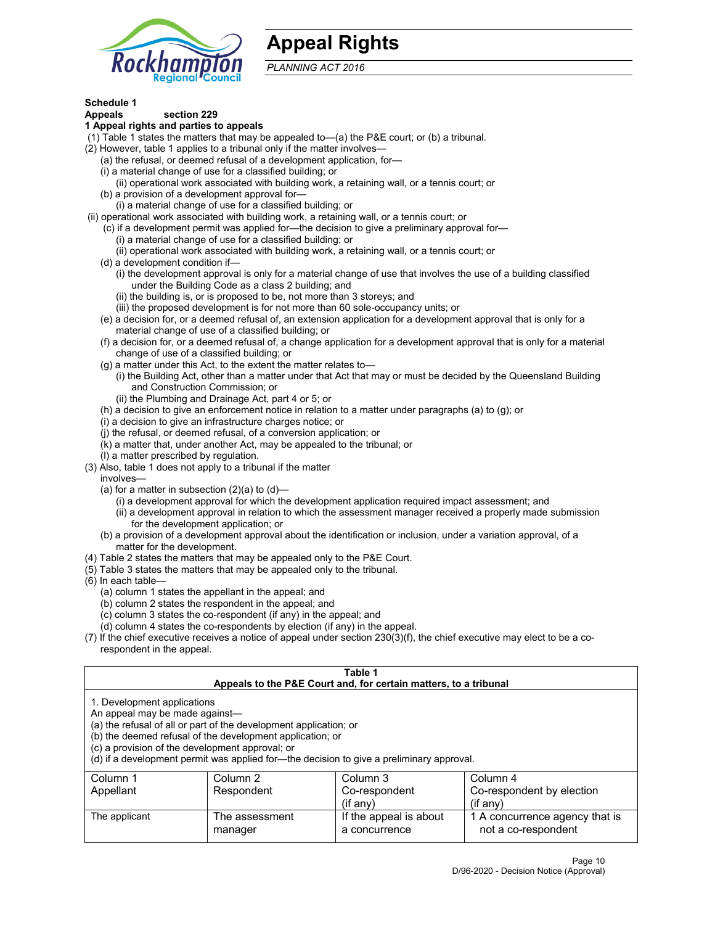

## **Appeal Rights**

*PLANNING ACT 2016*

## **Schedule 1**

## **Appeals section 229**

- **1 Appeal rights and parties to appeals**
- (1) Table 1 states the matters that may be appealed to—(a) the P&E court; or (b) a tribunal.
- (2) However, table 1 applies to a tribunal only if the matter involves—
	- (a) the refusal, or deemed refusal of a development application, for—
	- (i) a material change of use for a classified building; or
	- (ii) operational work associated with building work, a retaining wall, or a tennis court; or
	- (b) a provision of a development approval for—
	- (i) a material change of use for a classified building; or
- (ii) operational work associated with building work, a retaining wall, or a tennis court; or
	- (c) if a development permit was applied for—the decision to give a preliminary approval for—
		- (i) a material change of use for a classified building; or
	- (ii) operational work associated with building work, a retaining wall, or a tennis court; or
	- (d) a development condition if—
		- (i) the development approval is only for a material change of use that involves the use of a building classified under the Building Code as a class 2 building; and
		- (ii) the building is, or is proposed to be, not more than 3 storeys; and
		- (iii) the proposed development is for not more than 60 sole-occupancy units; or
	- (e) a decision for, or a deemed refusal of, an extension application for a development approval that is only for a material change of use of a classified building; or
	- (f) a decision for, or a deemed refusal of, a change application for a development approval that is only for a material change of use of a classified building; or
	- (g) a matter under this Act, to the extent the matter relates to—
		- (i) the Building Act, other than a matter under that Act that may or must be decided by the Queensland Building and Construction Commission; or
		- (ii) the Plumbing and Drainage Act, part 4 or 5; or
	- (h) a decision to give an enforcement notice in relation to a matter under paragraphs (a) to (g); or
	- (i) a decision to give an infrastructure charges notice; or
	- (j) the refusal, or deemed refusal, of a conversion application; or
	- (k) a matter that, under another Act, may be appealed to the tribunal; or
	- (l) a matter prescribed by regulation.
- (3) Also, table 1 does not apply to a tribunal if the matter
	- involves—
		- (a) for a matter in subsection  $(2)(a)$  to  $(d)$ 
			- (i) a development approval for which the development application required impact assessment; and
			- (ii) a development approval in relation to which the assessment manager received a properly made submission for the development application; or
	- (b) a provision of a development approval about the identification or inclusion, under a variation approval, of a matter for the development.
- (4) Table 2 states the matters that may be appealed only to the P&E Court.
- (5) Table 3 states the matters that may be appealed only to the tribunal.
- (6) In each table—
	- (a) column 1 states the appellant in the appeal; and
	- (b) column 2 states the respondent in the appeal; and
	- (c) column 3 states the co-respondent (if any) in the appeal; and
	- (d) column 4 states the co-respondents by election (if any) in the appeal.
- (7) If the chief executive receives a notice of appeal under section 230(3)(f), the chief executive may elect to be a corespondent in the appeal.

| Table 1<br>Appeals to the P&E Court and, for certain matters, to a tribunal                                                                                                                                                                                                                                                                    |                           |                                         |                                                       |  |  |
|------------------------------------------------------------------------------------------------------------------------------------------------------------------------------------------------------------------------------------------------------------------------------------------------------------------------------------------------|---------------------------|-----------------------------------------|-------------------------------------------------------|--|--|
| 1. Development applications<br>An appeal may be made against-<br>(a) the refusal of all or part of the development application; or<br>(b) the deemed refusal of the development application; or<br>(c) a provision of the development approval; or<br>(d) if a development permit was applied for—the decision to give a preliminary approval. |                           |                                         |                                                       |  |  |
| Column 1                                                                                                                                                                                                                                                                                                                                       | Column 2                  | Column 3                                | Column 4                                              |  |  |
| Appellant                                                                                                                                                                                                                                                                                                                                      | Respondent                | Co-respondent<br>$($ if any $)$         | Co-respondent by election<br>$(if$ anv)               |  |  |
| The applicant                                                                                                                                                                                                                                                                                                                                  | The assessment<br>manager | If the appeal is about<br>a concurrence | 1 A concurrence agency that is<br>not a co-respondent |  |  |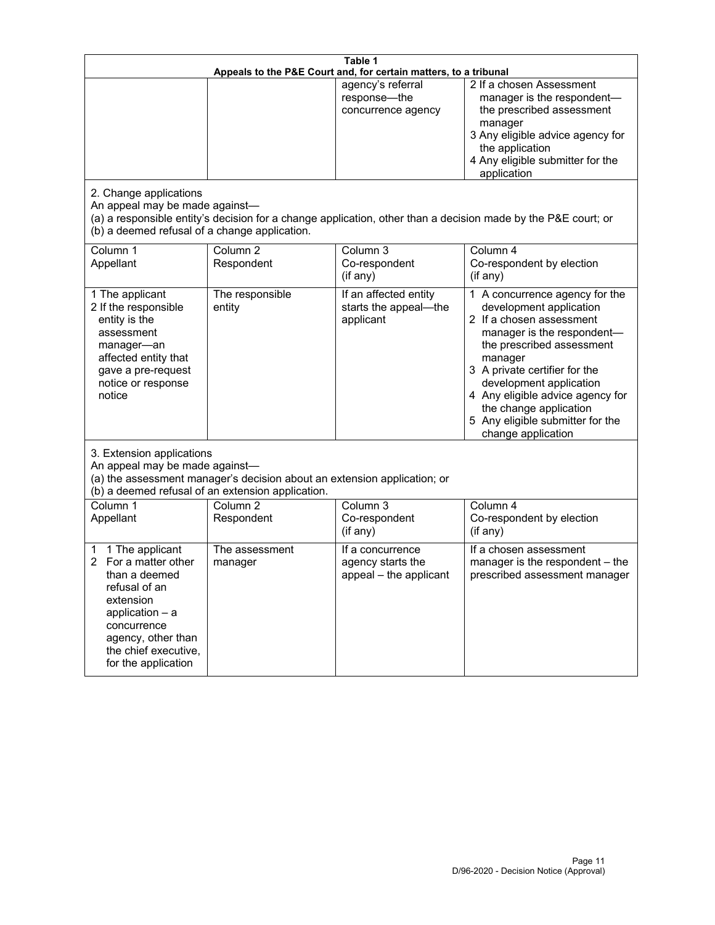| Table 1<br>Appeals to the P&E Court and, for certain matters, to a tribunal                                                                                                                        |                                                                                                                               |                                                                 |                                                                                                                                                                                                                                                                                                                                                 |  |
|----------------------------------------------------------------------------------------------------------------------------------------------------------------------------------------------------|-------------------------------------------------------------------------------------------------------------------------------|-----------------------------------------------------------------|-------------------------------------------------------------------------------------------------------------------------------------------------------------------------------------------------------------------------------------------------------------------------------------------------------------------------------------------------|--|
| 2. Change applications<br>An appeal may be made against-                                                                                                                                           |                                                                                                                               | agency's referral<br>response-the<br>concurrence agency         | 2 If a chosen Assessment<br>manager is the respondent-<br>the prescribed assessment<br>manager<br>3 Any eligible advice agency for<br>the application<br>4 Any eligible submitter for the<br>application<br>(a) a responsible entity's decision for a change application, other than a decision made by the P&E court; or                       |  |
| (b) a deemed refusal of a change application.<br>Column 1<br>Appellant                                                                                                                             | Column $\overline{2}$<br>Respondent                                                                                           | Column 3<br>Co-respondent<br>(if any)                           | Column 4<br>Co-respondent by election<br>(if any)                                                                                                                                                                                                                                                                                               |  |
| 1 The applicant<br>2 If the responsible<br>entity is the<br>assessment<br>manager-an<br>affected entity that<br>gave a pre-request<br>notice or response<br>notice                                 | The responsible<br>entity                                                                                                     | If an affected entity<br>starts the appeal-the<br>applicant     | 1 A concurrence agency for the<br>development application<br>2 If a chosen assessment<br>manager is the respondent-<br>the prescribed assessment<br>manager<br>3 A private certifier for the<br>development application<br>4 Any eligible advice agency for<br>the change application<br>5 Any eligible submitter for the<br>change application |  |
| 3. Extension applications<br>An appeal may be made against-                                                                                                                                        | (a) the assessment manager's decision about an extension application; or<br>(b) a deemed refusal of an extension application. |                                                                 |                                                                                                                                                                                                                                                                                                                                                 |  |
| Column 1<br>Appellant                                                                                                                                                                              | Column <sub>2</sub><br>Respondent                                                                                             | Column 3<br>Co-respondent<br>(if any)                           | Column 4<br>Co-respondent by election<br>(if any)                                                                                                                                                                                                                                                                                               |  |
| 1 The applicant<br>1<br>For a matter other<br>than a deemed<br>refusal of an<br>extension<br>application $-$ a<br>concurrence<br>agency, other than<br>the chief executive,<br>for the application | The assessment<br>manager                                                                                                     | If a concurrence<br>agency starts the<br>appeal - the applicant | If a chosen assessment<br>manager is the respondent - the<br>prescribed assessment manager                                                                                                                                                                                                                                                      |  |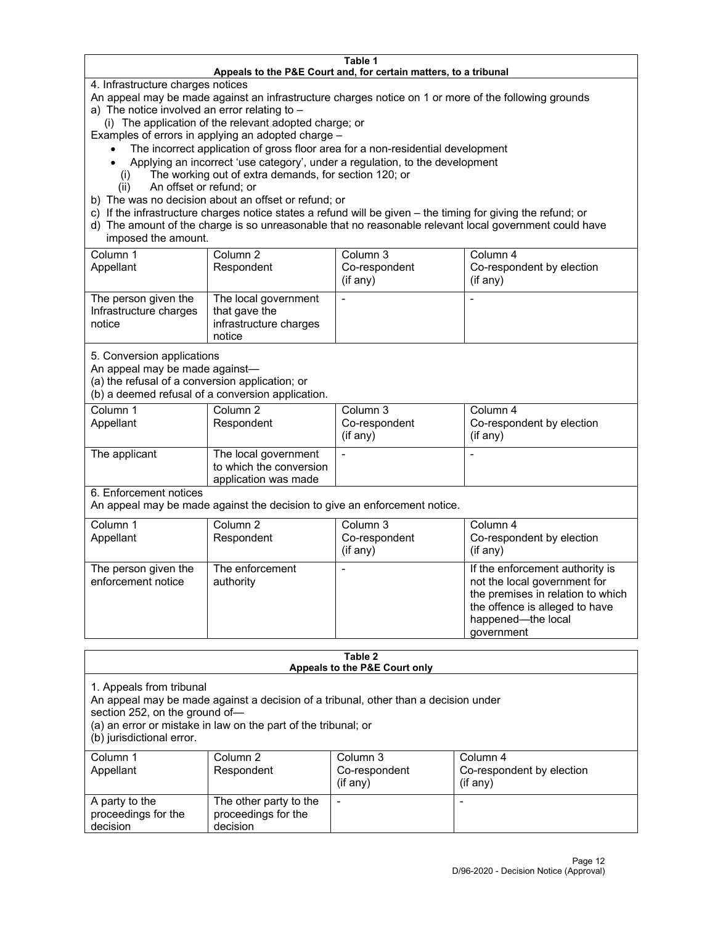#### **Table 1 Appeals to the P&E Court and, for certain matters, to a tribunal**

4. Infrastructure charges notices

An appeal may be made against an infrastructure charges notice on 1 or more of the following grounds

- a) The notice involved an error relating to
	- (i) The application of the relevant adopted charge; or

Examples of errors in applying an adopted charge –

- The incorrect application of gross floor area for a non-residential development
- Applying an incorrect 'use category', under a regulation, to the development
- (i) The working out of extra demands, for section 120; or
- (ii) An offset or refund; or
- b) The was no decision about an offset or refund; or
- c) If the infrastructure charges notice states a refund will be given the timing for giving the refund; or
- d) The amount of the charge is so unreasonable that no reasonable relevant local government could have imposed the amount.

| Column 1<br>Appellant                                    | Column 2<br>Respondent                                                    | Column 3<br>Co-respondent<br>(i f any) | Column 4<br>Co-respondent by election<br>(i f any) |
|----------------------------------------------------------|---------------------------------------------------------------------------|----------------------------------------|----------------------------------------------------|
| The person given the<br>Infrastructure charges<br>notice | The local government<br>that gave the<br>infrastructure charges<br>notice |                                        |                                                    |

5. Conversion applications

An appeal may be made against—

(a) the refusal of a conversion application; or

(b) a deemed refusal of a conversion application.

| Column 1      | Column 2                | Column 3       | Column 4                  |
|---------------|-------------------------|----------------|---------------------------|
| Appellant     | Respondent              | Co-respondent  | Co-respondent by election |
|               |                         | $($ if any $)$ | $(if$ any)                |
|               |                         |                |                           |
| The applicant | The local government    |                |                           |
|               | to which the conversion |                |                           |
|               | application was made    |                |                           |

6. Enforcement notices

An appeal may be made against the decision to give an enforcement notice.

| Column 1<br>Appellant                      | Column 2<br>Respondent       | Column 3<br>Co-respondent<br>(if any) | Column 4<br>Co-respondent by election<br>(i f any)                                                                                                                         |
|--------------------------------------------|------------------------------|---------------------------------------|----------------------------------------------------------------------------------------------------------------------------------------------------------------------------|
| The person given the<br>enforcement notice | The enforcement<br>authority |                                       | If the enforcement authority is<br>not the local government for<br>the premises in relation to which<br>the offence is alleged to have<br>happened-the local<br>government |

#### **Table 2 Appeals to the P&E Court only**

1. Appeals from tribunal

An appeal may be made against a decision of a tribunal, other than a decision under

section 252, on the ground of—

(a) an error or mistake in law on the part of the tribunal; or

(b) jurisdictional error.

| Column 1<br>Appellant                             | Column 2<br>Respondent                                    | Column 3<br>Co-respondent<br>$(if$ any) | Column 4<br>Co-respondent by election<br>$(if$ any) |
|---------------------------------------------------|-----------------------------------------------------------|-----------------------------------------|-----------------------------------------------------|
| A party to the<br>proceedings for the<br>decision | The other party to the<br>proceedings for the<br>decision | $\overline{\phantom{a}}$                |                                                     |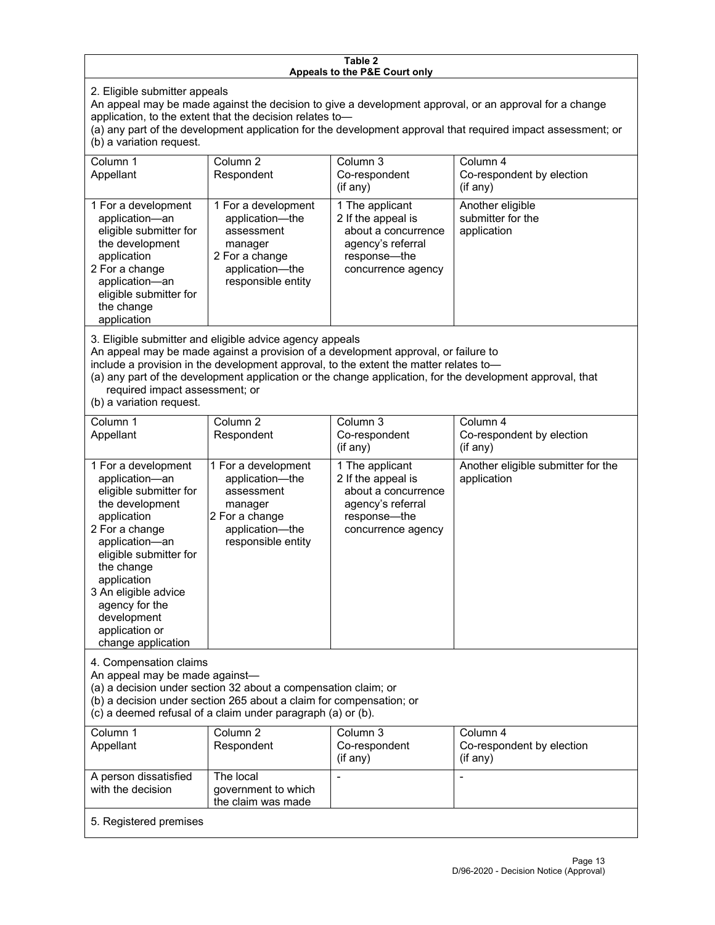#### **Table 2 Appeals to the P&E Court only**

2. Eligible submitter appeals

An appeal may be made against the decision to give a development approval, or an approval for a change application, to the extent that the decision relates to—

(a) any part of the development application for the development approval that required impact assessment; or (b) a variation request.

| Column 1<br>Appellant                                                                                                                                                                        | Column 2<br>Respondent                                                                                                     | Column 3<br>Co-respondent<br>$(i$ f any $)$                                                                             | Column 4<br>Co-respondent by election<br>$($ if any $)$ |
|----------------------------------------------------------------------------------------------------------------------------------------------------------------------------------------------|----------------------------------------------------------------------------------------------------------------------------|-------------------------------------------------------------------------------------------------------------------------|---------------------------------------------------------|
| 1 For a development<br>application-an<br>eligible submitter for<br>the development<br>application<br>2 For a change<br>application-an<br>eligible submitter for<br>the change<br>application | 1 For a development<br>application-the<br>assessment<br>manager<br>2 For a change<br>application-the<br>responsible entity | 1 The applicant<br>2 If the appeal is<br>about a concurrence<br>agency's referral<br>response—the<br>concurrence agency | Another eligible<br>submitter for the<br>application    |

3. Eligible submitter and eligible advice agency appeals

An appeal may be made against a provision of a development approval, or failure to

include a provision in the development approval, to the extent the matter relates to—

(a) any part of the development application or the change application, for the development approval, that required impact assessment; or

(b) a variation request.

| Column 1<br>Appellant                                                                                                                                                                                                                                                                         | Column <sub>2</sub><br>Respondent                                                                                          | Column 3<br>Co-respondent<br>(if any)                                                                                   | Column 4<br>Co-respondent by election<br>(if any) |
|-----------------------------------------------------------------------------------------------------------------------------------------------------------------------------------------------------------------------------------------------------------------------------------------------|----------------------------------------------------------------------------------------------------------------------------|-------------------------------------------------------------------------------------------------------------------------|---------------------------------------------------|
| 1 For a development<br>application-an<br>eligible submitter for<br>the development<br>application<br>2 For a change<br>application-an<br>eligible submitter for<br>the change<br>application<br>3 An eligible advice<br>agency for the<br>development<br>application or<br>change application | 1 For a development<br>application-the<br>assessment<br>manager<br>2 For a change<br>application-the<br>responsible entity | 1 The applicant<br>2 If the appeal is<br>about a concurrence<br>agency's referral<br>response—the<br>concurrence agency | Another eligible submitter for the<br>application |
| 4. Compensation claims<br>An appeal may be made against-<br>(a) a decision under section 32 about a compensation claim; or<br>(b) a decision under section 265 about a claim for compensation; or<br>(c) a deemed refusal of a claim under paragraph (a) or (b).                              |                                                                                                                            |                                                                                                                         |                                                   |
| Column <sub>1</sub><br>Appellant                                                                                                                                                                                                                                                              | Column <sub>2</sub><br>Respondent                                                                                          | Column 3<br>Co-respondent<br>(if any)                                                                                   | Column 4<br>Co-respondent by election<br>(if any) |
| A person dissatisfied<br>with the decision                                                                                                                                                                                                                                                    | The local<br>government to which<br>the claim was made                                                                     |                                                                                                                         | $\blacksquare$                                    |
| 5. Registered premises                                                                                                                                                                                                                                                                        |                                                                                                                            |                                                                                                                         |                                                   |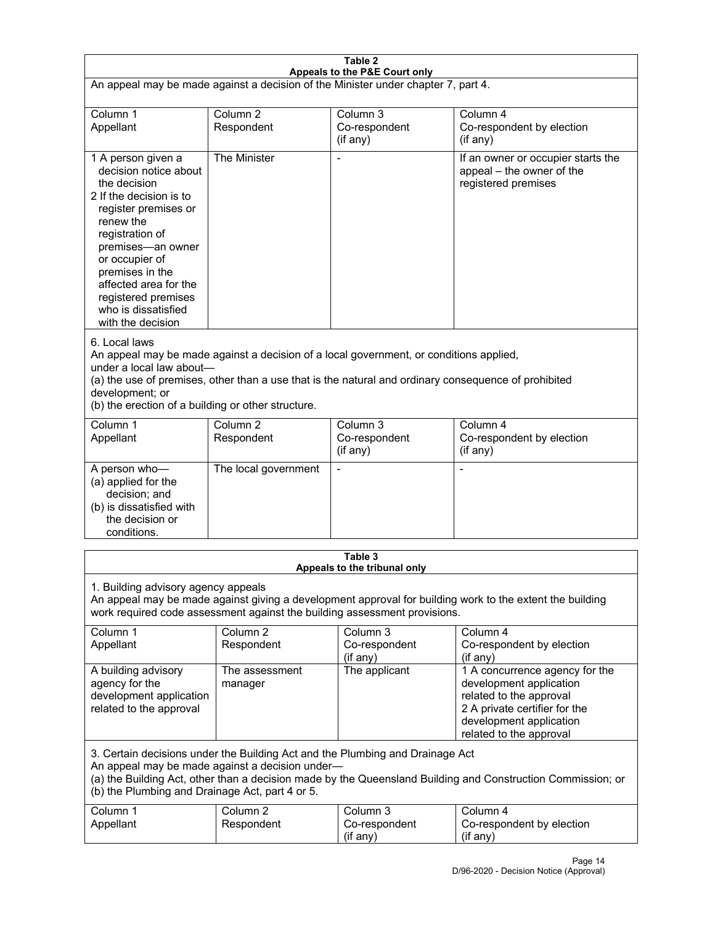| Table 2<br>Appeals to the P&E Court only                                                                                                                                                                                                                                                                             |                                   |                                                  |                                                                                                                                                                             |  |
|----------------------------------------------------------------------------------------------------------------------------------------------------------------------------------------------------------------------------------------------------------------------------------------------------------------------|-----------------------------------|--------------------------------------------------|-----------------------------------------------------------------------------------------------------------------------------------------------------------------------------|--|
| An appeal may be made against a decision of the Minister under chapter 7, part 4.                                                                                                                                                                                                                                    |                                   |                                                  |                                                                                                                                                                             |  |
|                                                                                                                                                                                                                                                                                                                      |                                   |                                                  |                                                                                                                                                                             |  |
| Column 1<br>Appellant                                                                                                                                                                                                                                                                                                | Column <sub>2</sub><br>Respondent | Column <sub>3</sub><br>Co-respondent<br>(if any) | Column 4<br>Co-respondent by election<br>$($ if any $)$                                                                                                                     |  |
| 1 A person given a<br>decision notice about<br>the decision<br>2 If the decision is to<br>register premises or<br>renew the<br>registration of<br>premises-an owner<br>or occupier of<br>premises in the<br>affected area for the<br>registered premises<br>who is dissatisfied<br>with the decision                 | The Minister                      |                                                  | If an owner or occupier starts the<br>appeal - the owner of the<br>registered premises                                                                                      |  |
| 6. Local laws<br>An appeal may be made against a decision of a local government, or conditions applied,<br>under a local law about-<br>(a) the use of premises, other than a use that is the natural and ordinary consequence of prohibited<br>development; or<br>(b) the erection of a building or other structure. |                                   |                                                  |                                                                                                                                                                             |  |
| Column 1<br>Appellant                                                                                                                                                                                                                                                                                                | Column <sub>2</sub><br>Respondent | Column 3<br>Co-respondent<br>(if any)            | Column 4<br>Co-respondent by election<br>(if any)                                                                                                                           |  |
| A person who-<br>(a) applied for the<br>decision; and<br>(b) is dissatisfied with<br>the decision or<br>conditions.                                                                                                                                                                                                  | The local government              | $\blacksquare$                                   | $\blacksquare$                                                                                                                                                              |  |
|                                                                                                                                                                                                                                                                                                                      |                                   | Table 3                                          |                                                                                                                                                                             |  |
| Appeals to the tribunal only<br>1. Building advisory agency appeals<br>An appeal may be made against giving a development approval for building work to the extent the building<br>work required code assessment against the building assessment provisions.                                                         |                                   |                                                  |                                                                                                                                                                             |  |
| Column 1<br>Appellant                                                                                                                                                                                                                                                                                                | Column <sub>2</sub><br>Respondent | Column <sub>3</sub><br>Co-respondent<br>(if any) | Column 4<br>Co-respondent by election<br>(if any)                                                                                                                           |  |
| A building advisory<br>agency for the<br>development application<br>related to the approval                                                                                                                                                                                                                          | The assessment<br>manager         | The applicant                                    | 1 A concurrence agency for the<br>development application<br>related to the approval<br>2 A private certifier for the<br>development application<br>related to the approval |  |
| 3. Certain decisions under the Building Act and the Plumbing and Drainage Act<br>An appeal may be made against a decision under-<br>(a) the Building Act, other than a decision made by the Queensland Building and Construction Commission; or<br>(b) the Plumbing and Drainage Act, part 4 or 5.                   |                                   |                                                  |                                                                                                                                                                             |  |
| Column 1<br>Appellant                                                                                                                                                                                                                                                                                                | Column <sub>2</sub><br>Respondent | Column 3<br>Co-respondent<br>(if any)            | Column 4<br>Co-respondent by election<br>(if any)                                                                                                                           |  |